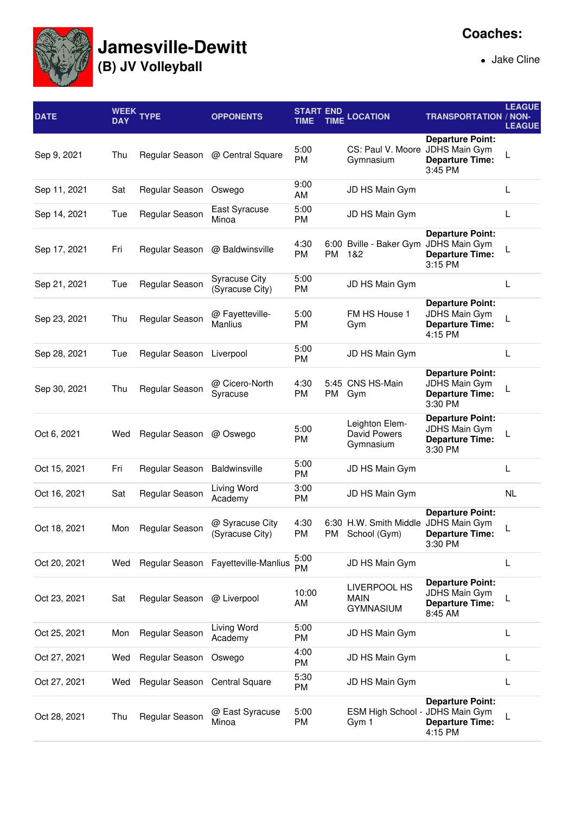

## **Jamesville-Dewitt**

**(B) JV Volleyball**

Jake Cline

| <b>DATE</b>  | WEEK<br><b>DAY</b> | <b>YPE</b>                    | <b>OPPONENTS</b>                        | <b>START END</b><br><b>TIME</b> |    | <b>TIME LOCATION</b>                                 | <b>TRANSPORTATION / NON-</b>                                                         | <b>LEAGUE</b><br><b>LEAGUE</b> |
|--------------|--------------------|-------------------------------|-----------------------------------------|---------------------------------|----|------------------------------------------------------|--------------------------------------------------------------------------------------|--------------------------------|
| Sep 9, 2021  | Thu                |                               | Regular Season @ Central Square         | 5:00<br>PM                      |    | CS: Paul V. Moore<br>Gymnasium                       | <b>Departure Point:</b><br>JDHS Main Gym<br><b>Departure Time:</b><br>3:45 PM        |                                |
| Sep 11, 2021 | Sat                | Regular Season                | Oswego                                  | 9:00<br>AM                      |    | JD HS Main Gym                                       |                                                                                      | L                              |
| Sep 14, 2021 | Tue                | Regular Season                | East Syracuse<br>Minoa                  | 5:00<br><b>PM</b>               |    | JD HS Main Gym                                       |                                                                                      | L                              |
| Sep 17, 2021 | Fri                | Regular Season                | @ Baldwinsville                         | 4:30<br>PM                      | PM | 6:00 Bville - Baker Gym<br>1&2                       | <b>Departure Point:</b><br>JDHS Main Gym<br><b>Departure Time:</b><br>3:15 PM        |                                |
| Sep 21, 2021 | Tue                | Regular Season                | <b>Syracuse City</b><br>(Syracuse City) | 5:00<br>PM                      |    | JD HS Main Gym                                       |                                                                                      | L                              |
| Sep 23, 2021 | Thu                | Regular Season                | @ Fayetteville-<br>Manlius              | 5:00<br><b>PM</b>               |    | FM HS House 1<br>Gym                                 | <b>Departure Point:</b><br><b>JDHS Main Gym</b><br><b>Departure Time:</b><br>4:15 PM |                                |
| Sep 28, 2021 | Tue                | Regular Season Liverpool      |                                         | 5:00<br><b>PM</b>               |    | JD HS Main Gym                                       |                                                                                      | L                              |
| Sep 30, 2021 | Thu                | Regular Season                | @ Cicero-North<br>Syracuse              | 4:30<br>PM                      | PM | 5:45 CNS HS-Main<br>Gym                              | <b>Departure Point:</b><br><b>JDHS Main Gym</b><br><b>Departure Time:</b><br>3:30 PM |                                |
| Oct 6, 2021  | Wed                | Regular Season                | @ Oswego                                | 5:00<br>PM                      |    | Leighton Elem-<br><b>David Powers</b><br>Gymnasium   | <b>Departure Point:</b><br>JDHS Main Gym<br><b>Departure Time:</b><br>3:30 PM        |                                |
| Oct 15, 2021 | Fri                | Regular Season                | Baldwinsville                           | 5:00<br>PM                      |    | JD HS Main Gym                                       |                                                                                      | L                              |
| Oct 16, 2021 | Sat                | Regular Season                | Living Word<br>Academy                  | 3:00<br>PM                      |    | JD HS Main Gym                                       |                                                                                      | NL                             |
| Oct 18, 2021 | Mon                | Regular Season                | @ Syracuse City<br>(Syracuse City)      | 4:30<br>PM                      | PM | 6:30 H.W. Smith Middle JDHS Main Gym<br>School (Gym) | <b>Departure Point:</b><br><b>Departure Time:</b><br>3:30 PM                         |                                |
| Oct 20, 2021 | Wed                |                               | Regular Season Fayetteville-Manlius     | 5:00<br><b>PM</b>               |    | JD HS Main Gym                                       |                                                                                      | L                              |
| Oct 23, 2021 | Sat                | Regular Season @ Liverpool    |                                         | 10:00<br>AM                     |    | LIVERPOOL HS<br><b>MAIN</b><br><b>GYMNASIUM</b>      | <b>Departure Point:</b><br><b>JDHS Main Gym</b><br><b>Departure Time:</b><br>8:45 AM |                                |
| Oct 25, 2021 | Mon                | Regular Season                | Living Word<br>Academy                  | 5:00<br>PM                      |    | JD HS Main Gym                                       |                                                                                      | L                              |
| Oct 27, 2021 | Wed                | Regular Season                | Oswego                                  | 4:00<br>PM                      |    | JD HS Main Gym                                       |                                                                                      | L                              |
| Oct 27, 2021 | Wed                | Regular Season Central Square |                                         | 5:30<br>PM                      |    | JD HS Main Gym                                       |                                                                                      | L                              |
| Oct 28, 2021 | Thu                | Regular Season                | @ East Syracuse<br>Minoa                | 5:00<br>PM                      |    | ESM High School -<br>Gym 1                           | <b>Departure Point:</b><br><b>JDHS Main Gym</b><br><b>Departure Time:</b><br>4:15 PM |                                |